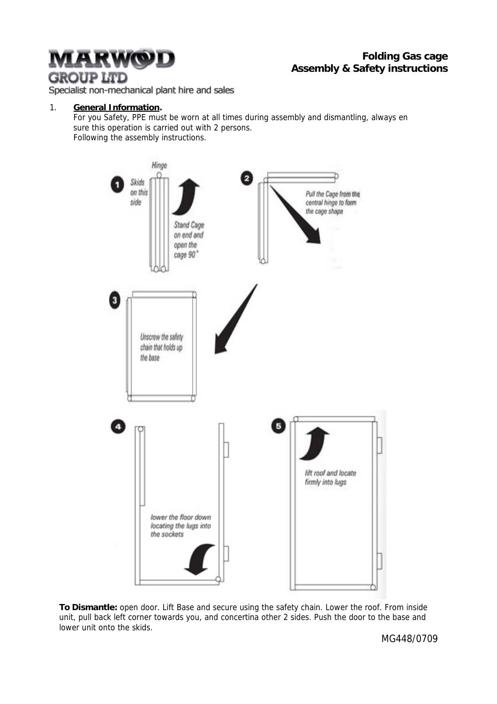# <u>ARWOD</u> **GROUP LTD**

## **Folding Gas cage Assembly & Safety instructions**

Specialist non-mechanical plant hire and sales

#### 1. **General Information.**

For you Safety, PPE must be worn at all times during assembly and dismantling, always en sure this operation is carried out with 2 persons. Following the assembly instructions.



**To Dismantle:** open door. Lift Base and secure using the safety chain. Lower the roof. From inside unit, pull back left corner towards you, and concertina other 2 sides. Push the door to the base and lower unit onto the skids.